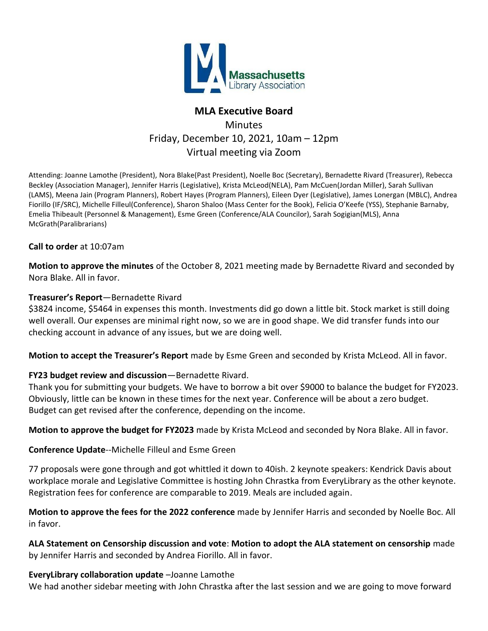

## **MLA Executive Board**

# **Minutes** Friday, December 10, 2021, 10am – 12pm Virtual meeting via Zoom

Attending: Joanne Lamothe (President)[, Nora Blake\(](mailto:pastpresident@masslib.org)Past President), Noelle Boc (Secretary), Bernadette Rivard (Treasurer), Rebecca Beckley (Association Manager), Jennifer Harris (Legislative), [Krista McLeod\(](mailto:kmcleod@nevinslibrary.org)NELA)[, Pam McCuen\(](mailto:pmccuen@minlib.net)Jordan Miller), Sarah Sullivan (LAMS), Meena Jain (Program Planners), Robert Hayes (Program Planners), Eileen Dyer (Legislative), James Lonergan (MBLC), Andrea Fiorillo (IF/SRC), [Michelle Filleul\(](mailto:filleul@noblenet.org)Conference), Sharon Shaloo (Mass Center for the Book), Felicia O'Keefe (YSS), Stephanie Barnaby, Emelia Thibeault (Personnel & Management), Esme Green (Conference/ALA Councilor), [Sarah Sogigian\(](mailto:sarah@masslibsystem.org)MLS), [Anna](mailto:amcgrath@newburyportpl.org)  [McGrath\(](mailto:amcgrath@newburyportpl.org)Paralibrarians)

### **Call to order** at 10:07am

**Motion to approve the minutes** of the October 8, 2021 meeting made by Bernadette Rivard and seconded by Nora Blake. All in favor.

#### **Treasurer's Report**—Bernadette Rivard

\$3824 income, \$5464 in expenses this month. Investments did go down a little bit. Stock market is still doing well overall. Our expenses are minimal right now, so we are in good shape. We did transfer funds into our checking account in advance of any issues, but we are doing well.

**Motion to accept the Treasurer's Report** made by Esme Green and seconded by Krista McLeod. All in favor.

## **FY23 budget review and discussion**—Bernadette Rivard.

Thank you for submitting your budgets. We have to borrow a bit over \$9000 to balance the budget for FY2023. Obviously, little can be known in these times for the next year. Conference will be about a zero budget. Budget can get revised after the conference, depending on the income.

**Motion to approve the budget for FY2023** made by Krista McLeod and seconded by Nora Blake. All in favor.

#### **Conference Update**--Michelle Filleul and Esme Green

77 proposals were gone through and got whittled it down to 40ish. 2 keynote speakers: Kendrick Davis about workplace morale and Legislative Committee is hosting John Chrastka from EveryLibrary as the other keynote. Registration fees for conference are comparable to 2019. Meals are included again.

**Motion to approve the fees for the 2022 conference** made by Jennifer Harris and seconded by Noelle Boc. All in favor.

**ALA Statement on Censorship discussion and vote**: **Motion to adopt the ALA statement on censorship** made by Jennifer Harris and seconded by Andrea Fiorillo. All in favor.

#### **EveryLibrary collaboration update** –Joanne Lamothe

We had another sidebar meeting with John Chrastka after the last session and we are going to move forward